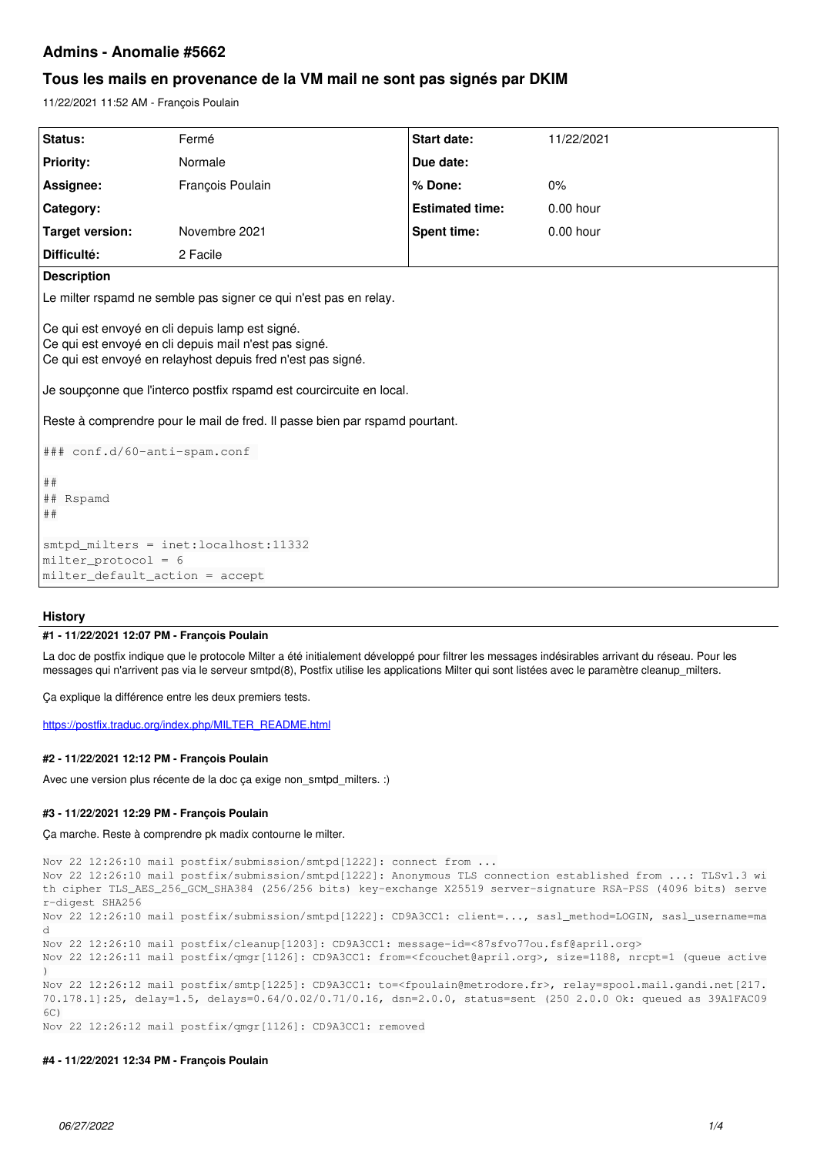# **Admins - Anomalie #5662**

# **Tous les mails en provenance de la VM mail ne sont pas signés par DKIM**

11/22/2021 11:52 AM - François Poulain

| Status:                                                                                                                                                                                                                                                                                                                                                        | Fermé            | Start date:            | 11/22/2021  |
|----------------------------------------------------------------------------------------------------------------------------------------------------------------------------------------------------------------------------------------------------------------------------------------------------------------------------------------------------------------|------------------|------------------------|-------------|
| <b>Priority:</b>                                                                                                                                                                                                                                                                                                                                               | Normale          | Due date:              |             |
| Assignee:                                                                                                                                                                                                                                                                                                                                                      | François Poulain | % Done:                | 0%          |
| Category:                                                                                                                                                                                                                                                                                                                                                      |                  | <b>Estimated time:</b> | $0.00$ hour |
| <b>Target version:</b>                                                                                                                                                                                                                                                                                                                                         | Novembre 2021    | Spent time:            | 0.00 hour   |
| Difficulté:                                                                                                                                                                                                                                                                                                                                                    | 2 Facile         |                        |             |
| <b>Description</b>                                                                                                                                                                                                                                                                                                                                             |                  |                        |             |
| Le milter rspamd ne semble pas signer ce qui n'est pas en relay.                                                                                                                                                                                                                                                                                               |                  |                        |             |
| Ce qui est envoyé en cli depuis lamp est signé.<br>Ce qui est envoyé en cli depuis mail n'est pas signé.<br>Ce qui est envoyé en relayhost depuis fred n'est pas signé.<br>Je soupçonne que l'interco postfix rspamd est courcircuite en local.<br>Reste à comprendre pour le mail de fred. Il passe bien par rspamd pourtant.<br>### conf.d/60-anti-spam.conf |                  |                        |             |
| ##<br>## Rspamd<br>##                                                                                                                                                                                                                                                                                                                                          |                  |                        |             |
| smtpd_milters = inet:localhost:11332<br>$mitter\_protocol = 6$                                                                                                                                                                                                                                                                                                 |                  |                        |             |
| milter_default_action = accept                                                                                                                                                                                                                                                                                                                                 |                  |                        |             |
|                                                                                                                                                                                                                                                                                                                                                                |                  |                        |             |

# **History**

### **#1 - 11/22/2021 12:07 PM - François Poulain**

La doc de postfix indique que le protocole Milter a été initialement développé pour filtrer les messages indésirables arrivant du réseau. Pour les messages qui n'arrivent pas via le serveur smtpd(8). Postfix utilise les applications Milter qui sont listées avec le paramètre cleanup milters.

Ça explique la différence entre les deux premiers tests.

[https://postfix.traduc.org/index.php/MILTER\\_README.html](https://postfix.traduc.org/index.php/MILTER_README.html)

### **#2 - 11/22/2021 12:12 PM - François Poulain**

Avec une version plus récente de la doc ça exige non\_smtpd\_milters. :)

# **#3 - 11/22/2021 12:29 PM - François Poulain**

Ça marche. Reste à comprendre pk madix contourne le milter.

```
Nov 22 12:26:10 mail postfix/submission/smtpd[1222]: connect from ...
Nov 22 12:26:10 mail postfix/submission/smtpd[1222]: Anonymous TLS connection established from ...: TLSv1.3 wi
th cipher TLS_AES_256_GCM_SHA384 (256/256 bits) key-exchange X25519 server-signature RSA-PSS (4096 bits) serve
r-digest SHA256
Nov 22 12:26:10 mail postfix/submission/smtpd[1222]: CD9A3CC1: client=..., sasl_method=LOGIN, sasl_username=ma
d
Nov 22 12:26:10 mail postfix/cleanup[1203]: CD9A3CC1: message-id=<87sfvo77ou.fsf@april.org>
Nov 22 12:26:11 mail postfix/qmgr[1126]: CD9A3CC1: from=<fcouchet@april.org>, size=1188, nrcpt=1 (queue active
)
Nov 22 12:26:12 mail postfix/smtp[1225]: CD9A3CC1: to=<fpoulain@metrodore.fr>, relay=spool.mail.gandi.net[217.
70.178.1]:25, delay=1.5, delays=0.64/0.02/0.71/0.16, dsn=2.0.0, status=sent (250 2.0.0 Ok: queued as 39A1FAC09
6C)
Nov 22 12:26:12 mail postfix/qmgr[1126]: CD9A3CC1: removed
```
## **#4 - 11/22/2021 12:34 PM - François Poulain**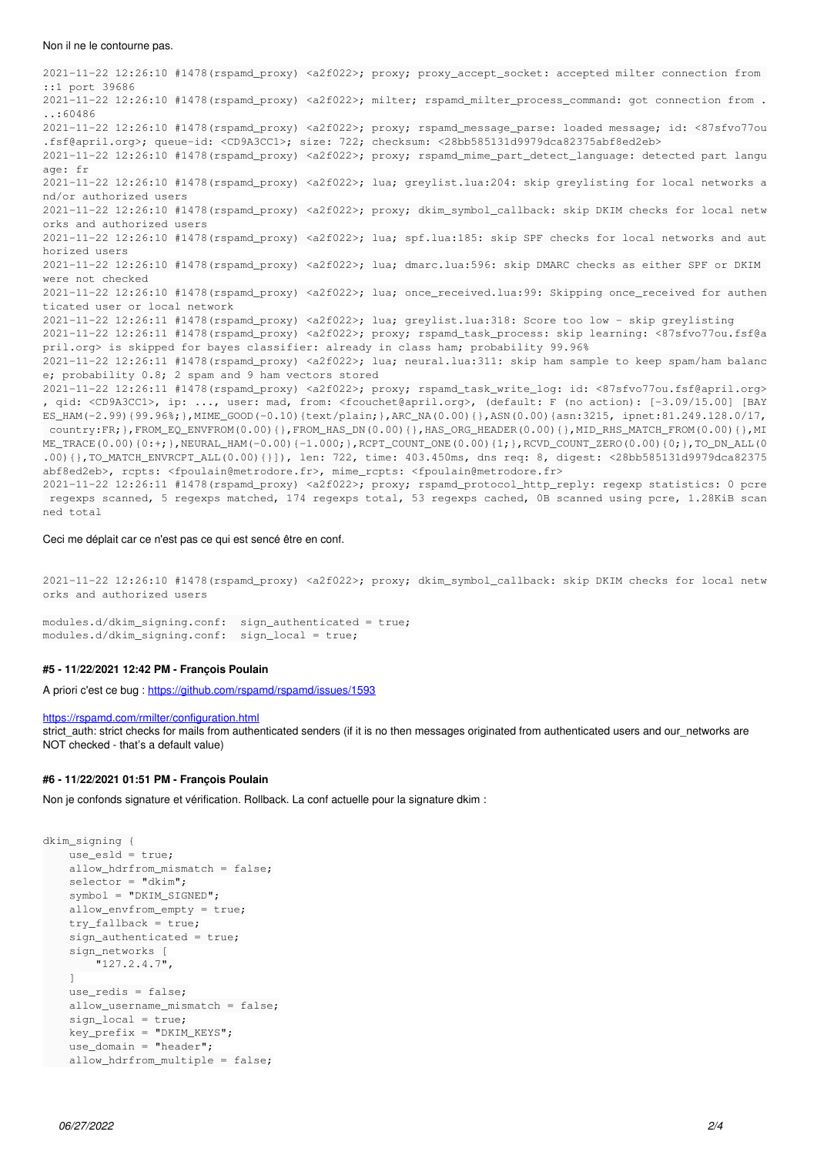#### Non il ne le contourne pas.

2021-11-22 12:26:10 #1478(rspamd\_proxy) <a2f022>; proxy; proxy\_accept\_socket: accepted milter connection from ::1 port 39686 2021-11-22 12:26:10 #1478(rspamd proxy) <a2f022>; milter; rspamd milter process command: got connection from . ..:60486 2021-11-22 12:26:10 #1478(rspamd\_proxy) <a2f022>; proxy; rspamd\_message\_parse: loaded message; id: <87sfvo77ou .fsf@april.org>; queue-id: <CD9A3CC1>; size: 722; checksum: <28bb585131d9979dca82375abf8ed2eb> 2021-11-22 12:26:10 #1478(rspamd\_proxy) <a2f022>; proxy; rspamd\_mime\_part\_detect\_language: detected part langu age: fr 2021-11-22 12:26:10 #1478(rspamd\_proxy) <a2f022>; lua; greylist.lua:204: skip greylisting for local networks a nd/or authorized users 2021-11-22 12:26:10 #1478(rspamd\_proxy) <a2f022>; proxy; dkim\_symbol\_callback: skip DKIM checks for local netw orks and authorized users 2021-11-22 12:26:10 #1478(rspamd\_proxy) <a2f022>; lua; spf.lua:185: skip SPF checks for local networks and aut horized users 2021-11-22 12:26:10 #1478(rspamd\_proxy) <a2f022>; lua; dmarc.lua:596: skip DMARC checks as either SPF or DKIM were not checked 2021-11-22 12:26:10 #1478(rspamd\_proxy) <a2f022>; lua; once\_received.lua:99: Skipping once\_received for authen ticated user or local network 2021-11-22 12:26:11 #1478(rspamd\_proxy) <a2f022>; lua; greylist.lua:318: Score too low - skip greylisting 2021-11-22 12:26:11 #1478(rspamd\_proxy) <a2f022>; proxy; rspamd\_task\_process: skip learning: <87sfvo77ou.fsf@a pril.org> is skipped for bayes classifier: already in class ham; probability 99.96% 2021-11-22 12:26:11 #1478(rspamd\_proxy) <a2f022>; lua; neural.lua:311: skip ham sample to keep spam/ham balanc e; probability 0.8; 2 spam and 9 ham vectors stored 2021-11-22 12:26:11 #1478(rspamd\_proxy) <a2f022>; proxy; rspamd\_task\_write\_log: id: <87sfvo77ou.fsf@april.org> , qid: <CD9A3CC1>, ip: ..., user: mad, from: <fcouchet@april.org>, (default: F (no action): [-3.09/15.00] [BAY ES\_HAM(-2.99){99.96%;},MIME\_GOOD(-0.10){text/plain;},ARC\_NA(0.00){},ASN(0.00){asn:3215, ipnet:81.249.128.0/17, country:FR;},FROM\_EQ\_ENVFROM(0.00){},FROM\_HAS\_DN(0.00){},HAS\_ORG\_HEADER(0.00){},MID\_RHS\_MATCH\_FROM(0.00){},MI ME\_TRACE(0.00){0:+;},NEURAL\_HAM(-0.00){-1.000;},RCPT\_COUNT\_ONE(0.00){1;},RCVD\_COUNT\_ZERO(0.00){0;},TO\_DN\_ALL(0 .00){},TO\_MATCH\_ENVRCPT\_ALL(0.00){}]), len: 722, time: 403.450ms, dns req: 8, digest: <28bb585131d9979dca82375 abf8ed2eb>, rcpts: <fpoulain@metrodore.fr>, mime\_rcpts: <fpoulain@metrodore.fr> 2021-11-22 12:26:11 #1478(rspamd\_proxy) <a2f022>; proxy; rspamd\_protocol\_http\_reply: regexp statistics: 0 pcre regexps scanned, 5 regexps matched, 174 regexps total, 53 regexps cached, 0B scanned using pcre, 1.28KiB scan ned total

Ceci me déplait car ce n'est pas ce qui est sencé être en conf.

2021-11-22 12:26:10 #1478(rspamd\_proxy) <a2f022>; proxy; dkim\_symbol\_callback: skip DKIM checks for local netw orks and authorized users

modules.d/dkim\_signing.conf: sign\_authenticated = true; modules.d/dkim\_signing.conf: sign\_local = true;

## **#5 - 11/22/2021 12:42 PM - François Poulain**

A priori c'est ce bug : <https://github.com/rspamd/rspamd/issues/1593>

#### <https://rspamd.com/rmilter/configuration.html>

strict auth: strict checks for mails from authenticated senders (if it is no then messages originated from authenticated users and our networks are NOT checked - that's a default value)

#### **#6 - 11/22/2021 01:51 PM - François Poulain**

Non je confonds signature et vérification. Rollback. La conf actuelle pour la signature dkim :

```
dkim_signing {
        use_esld = true;
        allow_hdrfrom_mismatch = false;
    selector = "dkim";    symbol = "DKIM_SIGNED";
        allow_envfrom_empty = true;
        try_fallback = true;
        sign_authenticated = true;
        sign_networks [
                 "127.2.4.7",
\Box    use_redis = false;
    allow username mismatch = false;
        sign_local = true;
        key_prefix = "DKIM_KEYS";
        use_domain = "header";
    allow hdrfrom multiple = false;
```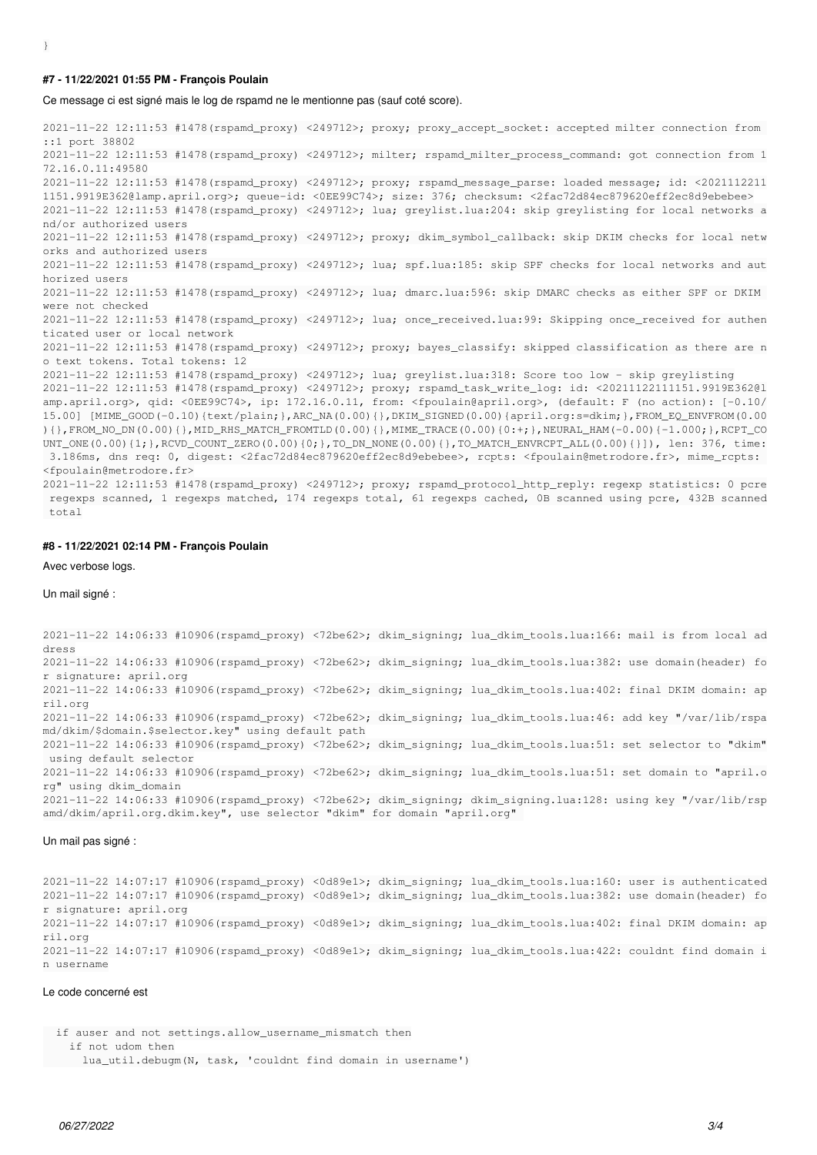#### **#7 - 11/22/2021 01:55 PM - François Poulain**

Ce message ci est signé mais le log de rspamd ne le mentionne pas (sauf coté score).

2021-11-22 12:11:53 #1478(rspamd\_proxy) <249712>; proxy; proxy\_accept\_socket: accepted milter connection from ::1 port 38802 2021-11-22 12:11:53 #1478(rspamd\_proxy) <249712>; milter; rspamd\_milter\_process\_command: got connection from 1 72.16.0.11:49580 2021-11-22 12:11:53 #1478(rspamd\_proxy) <249712>; proxy; rspamd\_message\_parse: loaded message; id: <2021112211 1151.9919E362@lamp.april.org>; queue-id: <0EE99C74>; size: 376; checksum: <2fac72d84ec879620eff2ec8d9ebebee> 2021-11-22 12:11:53 #1478(rspamd\_proxy) <249712>; lua; greylist.lua:204: skip greylisting for local networks a nd/or authorized users 2021-11-22 12:11:53 #1478(rspamd\_proxy) <249712>; proxy; dkim\_symbol\_callback: skip DKIM checks for local netw orks and authorized users 2021-11-22 12:11:53 #1478(rspamd\_proxy) <249712>; lua; spf.lua:185: skip SPF checks for local networks and aut horized users 2021-11-22 12:11:53 #1478(rspamd\_proxy) <249712>; lua; dmarc.lua:596: skip DMARC checks as either SPF or DKIM were not checked 2021-11-22 12:11:53 #1478(rspamd\_proxy) <249712>; lua; once\_received.lua:99: Skipping once\_received for authen ticated user or local network 2021-11-22 12:11:53 #1478(rspamd\_proxy) <249712>; proxy; bayes\_classify: skipped classification as there are n o text tokens. Total tokens: 12 2021-11-22 12:11:53 #1478(rspamd\_proxy) <249712>; lua; greylist.lua:318: Score too low - skip greylisting 2021-11-22 12:11:53 #1478(rspamd\_proxy) <249712>; proxy; rspamd\_task\_write\_log: id: <20211122111151.9919E362@l amp.april.org>, qid: <0EE99C74>, ip: 172.16.0.11, from: <fpoulain@april.org>, (default: F (no action): [-0.10/ 15.00] [MIME\_GOOD(-0.10){text/plain;},ARC\_NA(0.00){},DKIM\_SIGNED(0.00){april.org:s=dkim;},FROM\_EQ\_ENVFROM(0.00 ){},FROM\_NO\_DN(0.00){},MID\_RHS\_MATCH\_FROMTLD(0.00){},MIME\_TRACE(0.00){0:+;},NEURAL\_HAM(-0.00){-1.000;},RCPT\_CO UNT\_ONE(0.00){1;},RCVD\_COUNT\_ZERO(0.00){0;},TO\_DN\_NONE(0.00){},TO\_MATCH\_ENVRCPT\_ALL(0.00){}]), len: 376, time: 3.186ms, dns req: 0, digest: <2fac72d84ec879620eff2ec8d9ebebee>, rcpts: <fpoulain@metrodore.fr>, mime\_rcpts: <fpoulain@metrodore.fr>

2021-11-22 12:11:53 #1478(rspamd\_proxy) <249712>; proxy; rspamd\_protocol\_http\_reply: regexp statistics: 0 pcre regexps scanned, 1 regexps matched, 174 regexps total, 61 regexps cached, 0B scanned using pcre, 432B scanned total

### **#8 - 11/22/2021 02:14 PM - François Poulain**

Avec verbose logs.

Un mail signé :

2021-11-22 14:06:33 #10906(rspamd\_proxy) <72be62>; dkim\_signing; lua\_dkim\_tools.lua:166: mail is from local ad dress 2021-11-22 14:06:33 #10906(rspamd\_proxy) <72be62>; dkim\_signing; lua\_dkim\_tools.lua:382: use domain(header) fo r signature: april.org 2021-11-22 14:06:33 #10906(rspamd\_proxy) <72be62>; dkim\_signing; lua\_dkim\_tools.lua:402: final DKIM domain: ap ril.org 2021-11-22 14:06:33 #10906(rspamd\_proxy) <72be62>; dkim\_signing; lua\_dkim\_tools.lua:46: add key "/var/lib/rspa md/dkim/\$domain.\$selector.key" using default path 2021-11-22 14:06:33 #10906(rspamd\_proxy) <72be62>; dkim\_signing; lua\_dkim\_tools.lua:51: set selector to "dkim" using default selector 2021-11-22 14:06:33 #10906(rspamd\_proxy) <72be62>; dkim\_signing; lua\_dkim\_tools.lua:51: set domain to "april.o rg" using dkim\_domain 2021-11-22 14:06:33 #10906(rspamd\_proxy) <72be62>; dkim\_signing; dkim\_signing.lua:128: using key "/var/lib/rsp amd/dkim/april.org.dkim.key", use selector "dkim" for domain "april.org"

#### Un mail pas signé :

2021-11-22 14:07:17 #10906(rspamd\_proxy) <0d89e1>; dkim\_signing; lua\_dkim\_tools.lua:160: user is authenticated 2021-11-22 14:07:17 #10906(rspamd\_proxy) <0d89e1>; dkim\_signing; lua\_dkim\_tools.lua:382: use domain(header) fo r signature: april.org 2021-11-22 14:07:17 #10906(rspamd\_proxy) <0d89e1>; dkim\_signing; lua\_dkim\_tools.lua:402: final DKIM domain: ap ril.org 2021-11-22 14:07:17 #10906(rspamd\_proxy) <0d89e1>; dkim\_signing; lua\_dkim\_tools.lua:422: couldnt find domain i n username

#### Le code concerné est

```
  if auser and not settings.allow_username_mismatch then
       if not udom then
```

```
lua util.debugm(N, task, 'couldnt find domain in username')
```